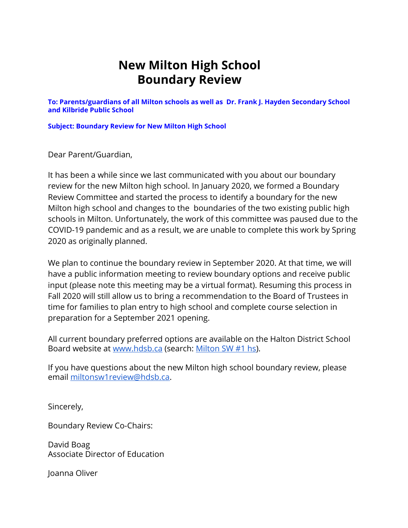## **New Milton High School Boundary Review**

**To: Parents/guardians of all Milton schools as well as Dr. Frank J. Hayden Secondary School and Kilbride Public School**

**Subject: Boundary Review for New Milton High School**

Dear Parent/Guardian,

It has been a while since we last communicated with you about our boundary review for the new Milton high school. In January 2020, we formed a Boundary Review Committee and started the process to identify a boundary for the new Milton high school and changes to the boundaries of the two existing public high schools in Milton. Unfortunately, the work of this committee was paused due to the COVID-19 pandemic and as a result, we are unable to complete this work by Spring 2020 as originally planned.

We plan to continue the boundary review in September 2020. At that time, we will have a public information meeting to review boundary options and receive public input (please note this meeting may be a virtual format). Resuming this process in Fall 2020 will still allow us to bring a recommendation to the Board of Trustees in time for families to plan entry to high school and complete course selection in preparation for a September 2021 opening.

All current boundary preferred options are available on the Halton District School Board website at [www.hdsb.ca](http://www.hdsb.ca/) (search: [Milton SW #1 hs\)](https://hdsb.ca/schools/Pages/School%20Boundary%20Reviews/Current%20Boundary%20Reviews/Milton-SW-1-hs-Boundary-Review.aspx).

If you have questions about the new Milton high school boundary review, please email [miltonsw1review@hdsb.ca.](mailto:miltonsw1review@hdsb.ca)

Sincerely,

Boundary Review Co-Chairs:

David Boag Associate Director of Education

Joanna Oliver